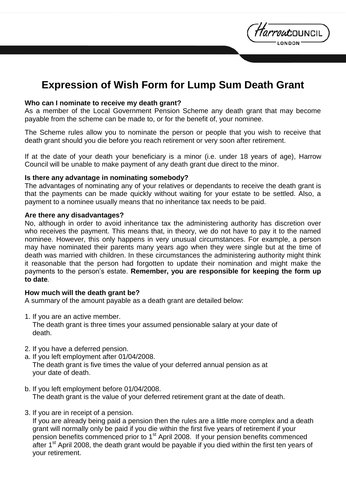# **Expression of Wish Form for Lump Sum Death Grant**

*tarrou*council

#### **Who can I nominate to receive my death grant?**

As a member of the Local Government Pension Scheme any death grant that may become payable from the scheme can be made to, or for the benefit of, your nominee.

The Scheme rules allow you to nominate the person or people that you wish to receive that death grant should you die before you reach retirement or very soon after retirement.

If at the date of your death your beneficiary is a minor (i.e. under 18 years of age), Harrow Council will be unable to make payment of any death grant due direct to the minor.

#### **Is there any advantage in nominating somebody?**

The advantages of nominating any of your relatives or dependants to receive the death grant is that the payments can be made quickly without waiting for your estate to be settled. Also, a payment to a nominee usually means that no inheritance tax needs to be paid.

#### **Are there any disadvantages?**

No, although in order to avoid inheritance tax the administering authority has discretion over who receives the payment. This means that, in theory, we do not have to pay it to the named nominee. However, this only happens in very unusual circumstances. For example, a person may have nominated their parents many years ago when they were single but at the time of death was married with children. In these circumstances the administering authority might think it reasonable that the person had forgotten to update their nomination and might make the payments to the person's estate. **Remember, you are responsible for keeping the form up to date.**

#### **How much will the death grant be?**

A summary of the amount payable as a death grant are detailed below:

1. If you are an active member.

 The death grant is three times your assumed pensionable salary at your date of death.

- 2. If you have a deferred pension.
- a. If you left employment after 01/04/2008. The death grant is five times the value of your deferred annual pension as at your date of death.
- b. If you left employment before 01/04/2008. The death grant is the value of your deferred retirement grant at the date of death.
- 3. If you are in receipt of a pension.

 If you are already being paid a pension then the rules are a little more complex and a death grant will normally only be paid if you die within the first five years of retirement if your pension benefits commenced prior to  $1<sup>st</sup>$  April 2008. If your pension benefits commenced after  $1<sup>st</sup>$  April 2008, the death grant would be payable if you died within the first ten years of your retirement.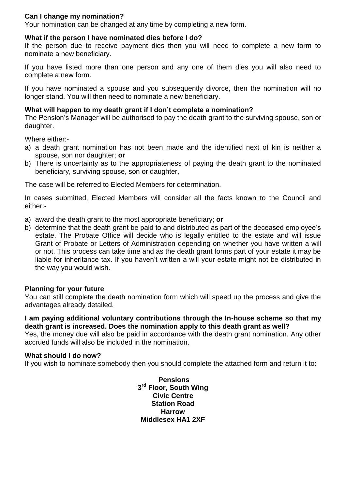#### **Can I change my nomination?**

Your nomination can be changed at any time by completing a new form.

#### **What if the person I have nominated dies before I do?**

If the person due to receive payment dies then you will need to complete a new form to nominate a new beneficiary.

If you have listed more than one person and any one of them dies you will also need to complete a new form.

If you have nominated a spouse and you subsequently divorce, then the nomination will no longer stand. You will then need to nominate a new beneficiary.

#### **What will happen to my death grant if I don't complete a nomination?**

The Pension's Manager will be authorised to pay the death grant to the surviving spouse, son or daughter.

Where either:-

- a) a death grant nomination has not been made and the identified next of kin is neither a spouse, son nor daughter; **or**
- b) There is uncertainty as to the appropriateness of paying the death grant to the nominated beneficiary, surviving spouse, son or daughter,

The case will be referred to Elected Members for determination.

In cases submitted, Elected Members will consider all the facts known to the Council and either:-

- a) award the death grant to the most appropriate beneficiary; **or**
- b) determine that the death grant be paid to and distributed as part of the deceased employee's estate. The Probate Office will decide who is legally entitled to the estate and will issue Grant of Probate or Letters of Administration depending on whether you have written a will or not. This process can take time and as the death grant forms part of your estate it may be liable for inheritance tax. If you haven't written a will your estate might not be distributed in the way you would wish.

#### **Planning for your future**

You can still complete the death nomination form which will speed up the process and give the advantages already detailed.

**I am paying additional voluntary contributions through the In-house scheme so that my death grant is increased. Does the nomination apply to this death grant as well?**

Yes, the money due will also be paid in accordance with the death grant nomination. Any other accrued funds will also be included in the nomination.

#### **What should I do now?**

If you wish to nominate somebody then you should complete the attached form and return it to:

**Pensions 3 rd Floor, South Wing Civic Centre Station Road Harrow Middlesex HA1 2XF**